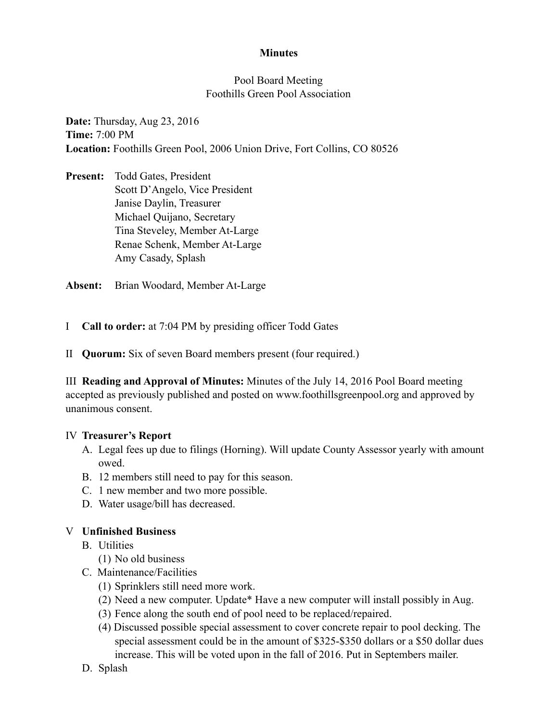## **Minutes**

## Pool Board Meeting Foothills Green Pool Association

**Date:** Thursday, Aug 23, 2016 **Time:** 7:00 PM **Location:** Foothills Green Pool, 2006 Union Drive, Fort Collins, CO 80526

**Present:** Todd Gates, President Scott D'Angelo, Vice President Janise Daylin, Treasurer Michael Quijano, Secretary Tina Steveley, Member At-Large Renae Schenk, Member At-Large Amy Casady, Splash

**Absent:** Brian Woodard, Member At-Large

I **Call to order:** at 7:04 PM by presiding officer Todd Gates

II **Quorum:** Six of seven Board members present (four required.)

III **Reading and Approval of Minutes:** Minutes of the July 14, 2016 Pool Board meeting accepted as previously published and posted on www.foothillsgreenpool.org and approved by unanimous consent.

### IV **Treasurer's Report**

- A. Legal fees up due to filings (Horning). Will update County Assessor yearly with amount owed.
- B. 12 members still need to pay for this season.
- C. 1 new member and two more possible.
- D. Water usage/bill has decreased.

# V **Unfinished Business**

- B. Utilities
	- (1) No old business
- C. Maintenance/Facilities
	- (1) Sprinklers still need more work.
	- (2) Need a new computer. Update\* Have a new computer will install possibly in Aug.
	- (3) Fence along the south end of pool need to be replaced/repaired.
	- (4) Discussed possible special assessment to cover concrete repair to pool decking. The special assessment could be in the amount of \$325-\$350 dollars or a \$50 dollar dues increase. This will be voted upon in the fall of 2016. Put in Septembers mailer.
- D. Splash